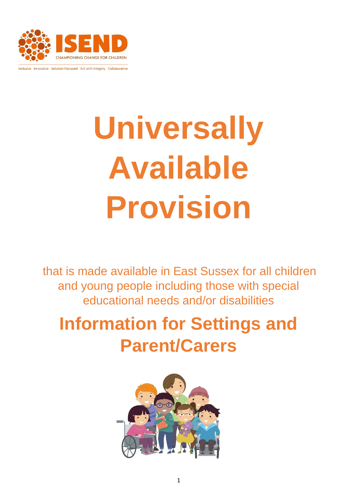

Inclusive Innovative Solution Focussed Act with Integrity Collaborative

# **Universally Available Provision**

that is made available in East Sussex for all children and young people including those with special educational needs and/or disabilities

# **Information for Settings and Parent/Carers**

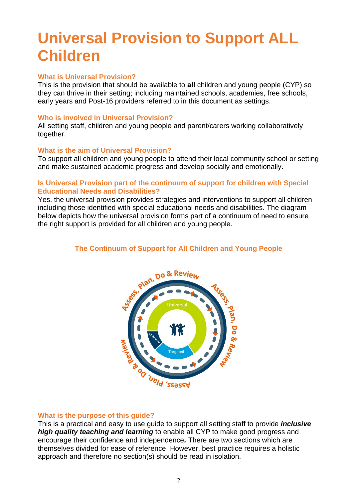## **Universal Provision to Support ALL Children**

#### **What is Universal Provision?**

This is the provision that should be available to **all** children and young people (CYP) so they can thrive in their setting; including maintained schools, academies, free schools, early years and Post-16 providers referred to in this document as settings.

#### **Who is involved in Universal Provision?**

All setting staff, children and young people and parent/carers working collaboratively together.

#### **What is the aim of Universal Provision?**

To support all children and young people to attend their local community school or setting and make sustained academic progress and develop socially and emotionally.

#### **Is Universal Provision part of the continuum of support for children with Special Educational Needs and Disabilities?**

Yes, the universal provision provides strategies and interventions to support all children including those identified with special educational needs and disabilities. The diagram below depicts how the universal provision forms part of a continuum of need to ensure the right support is provided for all children and young people.

#### **The Continuum of Support for All Children and Young People**



#### **What is the purpose of this guide?**

This is a practical and easy to use guide to support all setting staff to provide *inclusive high quality teaching and learning* to enable all CYP to make good progress and encourage their confidence and independence*.* There are two sections which are themselves divided for ease of reference. However, best practice requires a holistic approach and therefore no section(s) should be read in isolation.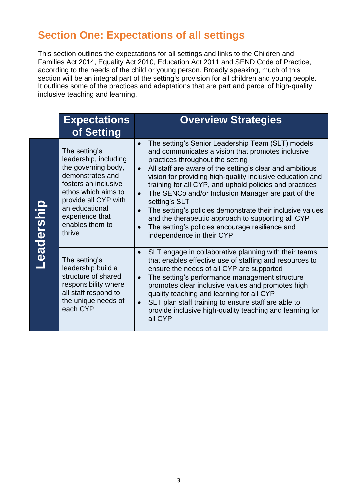## **Section One: Expectations of all settings**

This section outlines the expectations for all settings and links to the Children and Families Act 2014, Equality Act 2010, Education Act 2011 and SEND Code of Practice, according to the needs of the child or young person. Broadly speaking, much of this section will be an integral part of the setting's provision for all children and young people. It outlines some of the practices and adaptations that are part and parcel of high-quality inclusive teaching and learning.

|            | <b>Expectations</b><br>of Setting                                                                                                                                                                                          | <b>Overview Strategies</b>                                                                                                                                                                                                                                                                                                                                                                                                                                                                                                                                                                                            |
|------------|----------------------------------------------------------------------------------------------------------------------------------------------------------------------------------------------------------------------------|-----------------------------------------------------------------------------------------------------------------------------------------------------------------------------------------------------------------------------------------------------------------------------------------------------------------------------------------------------------------------------------------------------------------------------------------------------------------------------------------------------------------------------------------------------------------------------------------------------------------------|
| Leadership | The setting's<br>leadership, including<br>the governing body,<br>demonstrates and<br>fosters an inclusive<br>ethos which aims to<br>provide all CYP with<br>an educational<br>experience that<br>enables them to<br>thrive | The setting's Senior Leadership Team (SLT) models<br>and communicates a vision that promotes inclusive<br>practices throughout the setting<br>All staff are aware of the setting's clear and ambitious<br>$\bullet$<br>vision for providing high-quality inclusive education and<br>training for all CYP, and uphold policies and practices<br>The SENCo and/or Inclusion Manager are part of the<br>setting's SLT<br>The setting's policies demonstrate their inclusive values<br>and the therapeutic approach to supporting all CYP<br>The setting's policies encourage resilience and<br>independence in their CYP |
|            | The setting's<br>leadership build a<br>structure of shared<br>responsibility where<br>all staff respond to<br>the unique needs of<br>each CYP                                                                              | SLT engage in collaborative planning with their teams<br>that enables effective use of staffing and resources to<br>ensure the needs of all CYP are supported<br>The setting's performance management structure<br>$\bullet$<br>promotes clear inclusive values and promotes high<br>quality teaching and learning for all CYP<br>SLT plan staff training to ensure staff are able to<br>$\bullet$<br>provide inclusive high-quality teaching and learning for<br>all CYP                                                                                                                                             |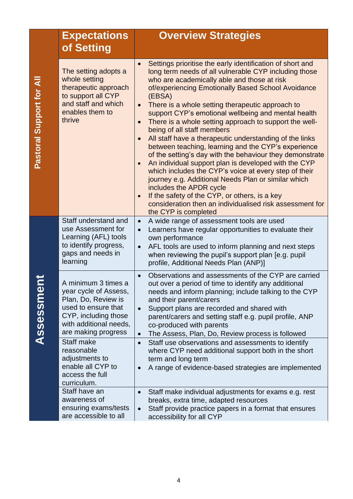|                          | <b>Expectations</b>                                                                                                                                                 | <b>Overview Strategies</b>                                                                                                                                                                                                                                                                                                                                                                                                                                                                                                                                                                                                                                                                                                                                                                                                                                                                                                                                                           |
|--------------------------|---------------------------------------------------------------------------------------------------------------------------------------------------------------------|--------------------------------------------------------------------------------------------------------------------------------------------------------------------------------------------------------------------------------------------------------------------------------------------------------------------------------------------------------------------------------------------------------------------------------------------------------------------------------------------------------------------------------------------------------------------------------------------------------------------------------------------------------------------------------------------------------------------------------------------------------------------------------------------------------------------------------------------------------------------------------------------------------------------------------------------------------------------------------------|
|                          | of Setting                                                                                                                                                          |                                                                                                                                                                                                                                                                                                                                                                                                                                                                                                                                                                                                                                                                                                                                                                                                                                                                                                                                                                                      |
| Pastoral Support for All | The setting adopts a<br>whole setting<br>therapeutic approach<br>to support all CYP<br>and staff and which<br>enables them to<br>thrive                             | Settings prioritise the early identification of short and<br>long term needs of all vulnerable CYP including those<br>who are academically able and those at risk<br>of/experiencing Emotionally Based School Avoidance<br>(EBSA)<br>There is a whole setting therapeutic approach to<br>support CYP's emotional wellbeing and mental health<br>There is a whole setting approach to support the well-<br>being of all staff members<br>All staff have a therapeutic understanding of the links<br>between teaching, learning and the CYP's experience<br>of the setting's day with the behaviour they demonstrate<br>An individual support plan is developed with the CYP<br>$\bullet$<br>which includes the CYP's voice at every step of their<br>journey e.g. Additional Needs Plan or similar which<br>includes the APDR cycle<br>If the safety of the CYP, or others, is a key<br>$\bullet$<br>consideration then an individualised risk assessment for<br>the CYP is completed |
|                          | Staff understand and<br>use Assessment for<br>Learning (AFL) tools<br>to identify progress,<br>gaps and needs in<br>learning                                        | A wide range of assessment tools are used<br>$\bullet$<br>Learners have regular opportunities to evaluate their<br>own performance<br>AFL tools are used to inform planning and next steps<br>$\bullet$<br>when reviewing the pupil's support plan [e.g. pupil<br>profile, Additional Needs Plan (ANP)]                                                                                                                                                                                                                                                                                                                                                                                                                                                                                                                                                                                                                                                                              |
| ide<br><b>Assessm</b>    | A minimum 3 times a<br>year cycle of Assess,<br>Plan, Do, Review is<br>used to ensure that<br>CYP, including those<br>with additional needs,<br>are making progress | Observations and assessments of the CYP are carried<br>$\bullet$<br>out over a period of time to identify any additional<br>needs and inform planning; include talking to the CYP<br>and their parent/carers<br>Support plans are recorded and shared with<br>parent/carers and setting staff e.g. pupil profile, ANP<br>co-produced with parents<br>The Assess, Plan, Do, Review process is followed<br>$\bullet$                                                                                                                                                                                                                                                                                                                                                                                                                                                                                                                                                                   |
|                          | Staff make<br>reasonable<br>adjustments to<br>enable all CYP to<br>access the full<br>curriculum.                                                                   | Staff use observations and assessments to identify<br>$\bullet$<br>where CYP need additional support both in the short<br>term and long term<br>A range of evidence-based strategies are implemented<br>$\bullet$                                                                                                                                                                                                                                                                                                                                                                                                                                                                                                                                                                                                                                                                                                                                                                    |
|                          | Staff have an<br>awareness of<br>ensuring exams/tests<br>are accessible to all                                                                                      | Staff make individual adjustments for exams e.g. rest<br>breaks, extra time, adapted resources<br>Staff provide practice papers in a format that ensures<br>accessibility for all CYP                                                                                                                                                                                                                                                                                                                                                                                                                                                                                                                                                                                                                                                                                                                                                                                                |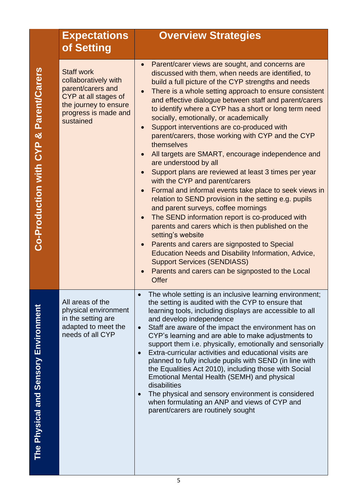|                                        | <b>Expectations</b>                                                                                                                                  | <b>Overview Strategies</b>                                                                                                                                                                                                                                                                                                                                                                                                                                                                                                                                                                                                                                                                                                                                                                                                                                                                                                                                                                                                                                                                                                                                                            |
|----------------------------------------|------------------------------------------------------------------------------------------------------------------------------------------------------|---------------------------------------------------------------------------------------------------------------------------------------------------------------------------------------------------------------------------------------------------------------------------------------------------------------------------------------------------------------------------------------------------------------------------------------------------------------------------------------------------------------------------------------------------------------------------------------------------------------------------------------------------------------------------------------------------------------------------------------------------------------------------------------------------------------------------------------------------------------------------------------------------------------------------------------------------------------------------------------------------------------------------------------------------------------------------------------------------------------------------------------------------------------------------------------|
|                                        | of Setting                                                                                                                                           |                                                                                                                                                                                                                                                                                                                                                                                                                                                                                                                                                                                                                                                                                                                                                                                                                                                                                                                                                                                                                                                                                                                                                                                       |
| Co-Production with CYP & Parent/Carers | <b>Staff work</b><br>collaboratively with<br>parent/carers and<br>CYP at all stages of<br>the journey to ensure<br>progress is made and<br>sustained | Parent/carer views are sought, and concerns are<br>discussed with them, when needs are identified, to<br>build a full picture of the CYP strengths and needs<br>There is a whole setting approach to ensure consistent<br>and effective dialogue between staff and parent/carers<br>to identify where a CYP has a short or long term need<br>socially, emotionally, or academically<br>Support interventions are co-produced with<br>parent/carers, those working with CYP and the CYP<br>themselves<br>All targets are SMART, encourage independence and<br>are understood by all<br>Support plans are reviewed at least 3 times per year<br>with the CYP and parent/carers<br>Formal and informal events take place to seek views in<br>relation to SEND provision in the setting e.g. pupils<br>and parent surveys, coffee mornings<br>The SEND information report is co-produced with<br>parents and carers which is then published on the<br>setting's website<br>Parents and carers are signposted to Special<br>Education Needs and Disability Information, Advice,<br><b>Support Services (SENDIASS)</b><br>Parents and carers can be signposted to the Local<br><b>Offer</b> |
| The Physical and Sensory Environment   | All areas of the<br>physical environment<br>in the setting are<br>adapted to meet the<br>needs of all CYP                                            | The whole setting is an inclusive learning environment;<br>the setting is audited with the CYP to ensure that<br>learning tools, including displays are accessible to all<br>and develop independence<br>Staff are aware of the impact the environment has on<br>CYP's learning and are able to make adjustments to<br>support them i.e. physically, emotionally and sensorially<br>Extra-curricular activities and educational visits are<br>planned to fully include pupils with SEND (in line with<br>the Equalities Act 2010), including those with Social<br>Emotional Mental Health (SEMH) and physical<br>disabilities<br>The physical and sensory environment is considered<br>when formulating an ANP and views of CYP and<br>parent/carers are routinely sought                                                                                                                                                                                                                                                                                                                                                                                                             |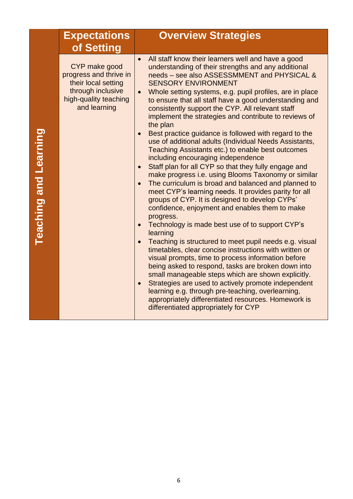| <b>Expectations</b><br>of Setting                                                                                            | <b>Overview Strategies</b>                                                                                                                                                                                                                                                                                                                                                                                                                                                                                                                                                                                                                                                                                                                                                                                                                                                                                                                                                                                                                                                                                                                                                                                                                                                                                                                                                                                                                                                                                                                                                                                                                        |
|------------------------------------------------------------------------------------------------------------------------------|---------------------------------------------------------------------------------------------------------------------------------------------------------------------------------------------------------------------------------------------------------------------------------------------------------------------------------------------------------------------------------------------------------------------------------------------------------------------------------------------------------------------------------------------------------------------------------------------------------------------------------------------------------------------------------------------------------------------------------------------------------------------------------------------------------------------------------------------------------------------------------------------------------------------------------------------------------------------------------------------------------------------------------------------------------------------------------------------------------------------------------------------------------------------------------------------------------------------------------------------------------------------------------------------------------------------------------------------------------------------------------------------------------------------------------------------------------------------------------------------------------------------------------------------------------------------------------------------------------------------------------------------------|
| CYP make good<br>progress and thrive in<br>their local setting<br>through inclusive<br>high-quality teaching<br>and learning | All staff know their learners well and have a good<br>$\bullet$<br>understanding of their strengths and any additional<br>needs - see also ASSESSMMENT and PHYSICAL &<br><b>SENSORY ENVIRONMENT</b><br>Whole setting systems, e.g. pupil profiles, are in place<br>$\bullet$<br>to ensure that all staff have a good understanding and<br>consistently support the CYP. All relevant staff<br>implement the strategies and contribute to reviews of<br>the plan<br>Best practice guidance is followed with regard to the<br>use of additional adults (Individual Needs Assistants,<br>Teaching Assistants etc.) to enable best outcomes<br>including encouraging independence<br>Staff plan for all CYP so that they fully engage and<br>$\bullet$<br>make progress i.e. using Blooms Taxonomy or similar<br>The curriculum is broad and balanced and planned to<br>$\bullet$<br>meet CYP's learning needs. It provides parity for all<br>groups of CYP. It is designed to develop CYPs'<br>confidence, enjoyment and enables them to make<br>progress.<br>Technology is made best use of to support CYP's<br>$\bullet$<br>learning<br>Teaching is structured to meet pupil needs e.g. visual<br>$\bullet$<br>timetables, clear concise instructions with written or<br>visual prompts, time to process information before<br>being asked to respond, tasks are broken down into<br>small manageable steps which are shown explicitly.<br>Strategies are used to actively promote independent<br>learning e.g. through pre-teaching, overlearning,<br>appropriately differentiated resources. Homework is<br>differentiated appropriately for CYP |

**Teaching and Learning Teaching and Learning**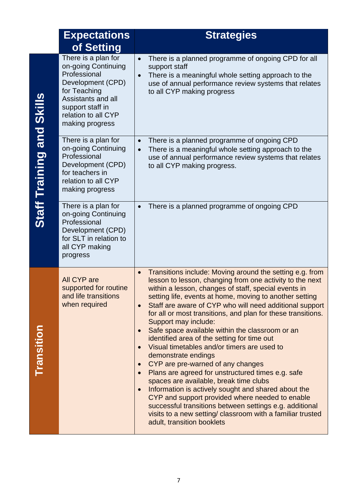|                           | <b>Expectations</b>                                                                                                                                                                 | <b>Strategies</b>                                                                                                                                                                                                                                                                                                                                                                                                                                                                                                                                                                                                                                                                                                                                                                                                                                                                                                                                                                                              |
|---------------------------|-------------------------------------------------------------------------------------------------------------------------------------------------------------------------------------|----------------------------------------------------------------------------------------------------------------------------------------------------------------------------------------------------------------------------------------------------------------------------------------------------------------------------------------------------------------------------------------------------------------------------------------------------------------------------------------------------------------------------------------------------------------------------------------------------------------------------------------------------------------------------------------------------------------------------------------------------------------------------------------------------------------------------------------------------------------------------------------------------------------------------------------------------------------------------------------------------------------|
|                           | of Setting                                                                                                                                                                          |                                                                                                                                                                                                                                                                                                                                                                                                                                                                                                                                                                                                                                                                                                                                                                                                                                                                                                                                                                                                                |
|                           | There is a plan for<br>on-going Continuing<br>Professional<br>Development (CPD)<br>for Teaching<br>Assistants and all<br>support staff in<br>relation to all CYP<br>making progress | There is a planned programme of ongoing CPD for all<br>$\bullet$<br>support staff<br>There is a meaningful whole setting approach to the<br>use of annual performance review systems that relates<br>to all CYP making progress                                                                                                                                                                                                                                                                                                                                                                                                                                                                                                                                                                                                                                                                                                                                                                                |
| Staff Training and Skills | There is a plan for<br>on-going Continuing<br>Professional<br>Development (CPD)<br>for teachers in<br>relation to all CYP<br>making progress                                        | There is a planned programme of ongoing CPD<br>$\bullet$<br>There is a meaningful whole setting approach to the<br>use of annual performance review systems that relates<br>to all CYP making progress.                                                                                                                                                                                                                                                                                                                                                                                                                                                                                                                                                                                                                                                                                                                                                                                                        |
|                           | There is a plan for<br>on-going Continuing<br>Professional<br>Development (CPD)<br>for SLT in relation to<br>all CYP making<br>progress                                             | There is a planned programme of ongoing CPD                                                                                                                                                                                                                                                                                                                                                                                                                                                                                                                                                                                                                                                                                                                                                                                                                                                                                                                                                                    |
| Transition                | All CYP are<br>supported for routine<br>and life transitions<br>when required                                                                                                       | Transitions include: Moving around the setting e.g. from<br>lesson to lesson, changing from one activity to the next<br>within a lesson, changes of staff, special events in<br>setting life, events at home, moving to another setting<br>Staff are aware of CYP who will need additional support<br>for all or most transitions, and plan for these transitions.<br>Support may include:<br>Safe space available within the classroom or an<br>$\bullet$<br>identified area of the setting for time out<br>Visual timetables and/or timers are used to<br>demonstrate endings<br>CYP are pre-warned of any changes<br>$\bullet$<br>Plans are agreed for unstructured times e.g. safe<br>$\bullet$<br>spaces are available, break time clubs<br>Information is actively sought and shared about the<br>CYP and support provided where needed to enable<br>successful transitions between settings e.g. additional<br>visits to a new setting/ classroom with a familiar trusted<br>adult, transition booklets |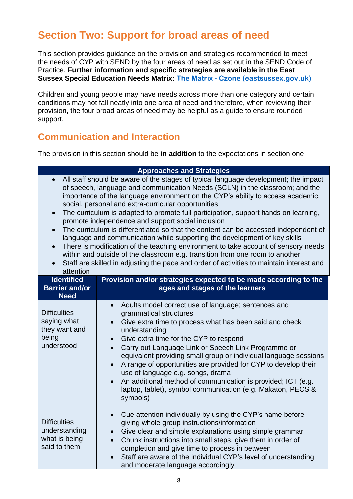## **Section Two: Support for broad areas of need**

This section provides guidance on the provision and strategies recommended to meet the needs of CYP with SEND by the four areas of need as set out in the SEND Code of Practice. **Further information and specific strategies are available in the East Sussex Special Education Needs Matrix: The Matrix - [Czone \(eastsussex.gov.uk\)](https://czone.eastsussex.gov.uk/inclusion-and-send/sen-matrix/the-matrix/)**

Children and young people may have needs across more than one category and certain conditions may not fall neatly into one area of need and therefore, when reviewing their provision, the four broad areas of need may be helpful as a guide to ensure rounded support.

### **Communication and Interaction**

The provision in this section should be **in addition** to the expectations in section one

|                                                                                                                                                                                                                                                                                                                                                                                                                                                                                                                                                                                                                                                                                                                                                                                                                                                                                                                                                     | <b>Approaches and Strategies</b>                                                                                                                                                                                                                                                                                                                                                                                                                                                                                                                                                                                                                  |  |
|-----------------------------------------------------------------------------------------------------------------------------------------------------------------------------------------------------------------------------------------------------------------------------------------------------------------------------------------------------------------------------------------------------------------------------------------------------------------------------------------------------------------------------------------------------------------------------------------------------------------------------------------------------------------------------------------------------------------------------------------------------------------------------------------------------------------------------------------------------------------------------------------------------------------------------------------------------|---------------------------------------------------------------------------------------------------------------------------------------------------------------------------------------------------------------------------------------------------------------------------------------------------------------------------------------------------------------------------------------------------------------------------------------------------------------------------------------------------------------------------------------------------------------------------------------------------------------------------------------------------|--|
| All staff should be aware of the stages of typical language development; the impact<br>$\bullet$<br>of speech, language and communication Needs (SCLN) in the classroom; and the<br>importance of the language environment on the CYP's ability to access academic,<br>social, personal and extra-curricular opportunities<br>The curriculum is adapted to promote full participation, support hands on learning,<br>$\bullet$<br>promote independence and support social inclusion<br>The curriculum is differentiated so that the content can be accessed independent of<br>$\bullet$<br>language and communication while supporting the development of key skills<br>There is modification of the teaching environment to take account of sensory needs<br>within and outside of the classroom e.g. transition from one room to another<br>Staff are skilled in adjusting the pace and order of activities to maintain interest and<br>attention |                                                                                                                                                                                                                                                                                                                                                                                                                                                                                                                                                                                                                                                   |  |
| <b>Identified</b><br><b>Barrier and/or</b>                                                                                                                                                                                                                                                                                                                                                                                                                                                                                                                                                                                                                                                                                                                                                                                                                                                                                                          | Provision and/or strategies expected to be made according to the<br>ages and stages of the learners                                                                                                                                                                                                                                                                                                                                                                                                                                                                                                                                               |  |
| <b>Need</b>                                                                                                                                                                                                                                                                                                                                                                                                                                                                                                                                                                                                                                                                                                                                                                                                                                                                                                                                         |                                                                                                                                                                                                                                                                                                                                                                                                                                                                                                                                                                                                                                                   |  |
| <b>Difficulties</b><br>saying what<br>they want and<br>being<br>understood                                                                                                                                                                                                                                                                                                                                                                                                                                                                                                                                                                                                                                                                                                                                                                                                                                                                          | Adults model correct use of language; sentences and<br>$\bullet$<br>grammatical structures<br>Give extra time to process what has been said and check<br>$\bullet$<br>understanding<br>Give extra time for the CYP to respond<br>$\bullet$<br>Carry out Language Link or Speech Link Programme or<br>$\bullet$<br>equivalent providing small group or individual language sessions<br>A range of opportunities are provided for CYP to develop their<br>$\bullet$<br>use of language e.g. songs, drama<br>An additional method of communication is provided; ICT (e.g.<br>laptop, tablet), symbol communication (e.g. Makaton, PECS &<br>symbols) |  |
| <b>Difficulties</b><br>understanding<br>what is being<br>said to them                                                                                                                                                                                                                                                                                                                                                                                                                                                                                                                                                                                                                                                                                                                                                                                                                                                                               | Cue attention individually by using the CYP's name before<br>$\bullet$<br>giving whole group instructions/information<br>Give clear and simple explanations using simple grammar<br>Chunk instructions into small steps, give them in order of<br>completion and give time to process in between<br>Staff are aware of the individual CYP's level of understanding<br>and moderate language accordingly                                                                                                                                                                                                                                           |  |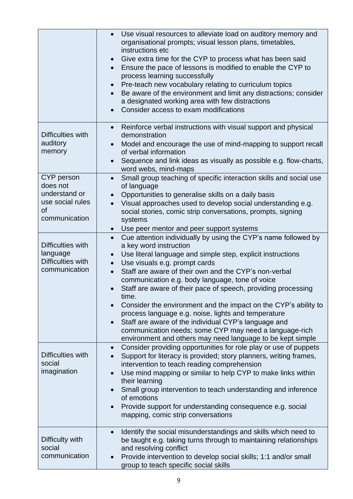|                                   | Use visual resources to alleviate load on auditory memory and<br>$\bullet$<br>organisational prompts; visual lesson plans, timetables,<br>instructions etc<br>Give extra time for the CYP to process what has been said<br>Ensure the pace of lessons is modified to enable the CYP to<br>process learning successfully<br>Pre-teach new vocabulary relating to curriculum topics<br>Be aware of the environment and limit any distractions; consider<br>a designated working area with few distractions<br>Consider access to exam modifications |
|-----------------------------------|---------------------------------------------------------------------------------------------------------------------------------------------------------------------------------------------------------------------------------------------------------------------------------------------------------------------------------------------------------------------------------------------------------------------------------------------------------------------------------------------------------------------------------------------------|
| Difficulties with                 | Reinforce verbal instructions with visual support and physical<br>$\bullet$<br>demonstration                                                                                                                                                                                                                                                                                                                                                                                                                                                      |
| auditory<br>memory                | Model and encourage the use of mind-mapping to support recall<br>of verbal information                                                                                                                                                                                                                                                                                                                                                                                                                                                            |
|                                   | Sequence and link ideas as visually as possible e.g. flow-charts,<br>word webs, mind-maps                                                                                                                                                                                                                                                                                                                                                                                                                                                         |
| CYP person<br>does not            | Small group teaching of specific interaction skills and social use<br>$\bullet$<br>of language                                                                                                                                                                                                                                                                                                                                                                                                                                                    |
| understand or<br>use social rules | Opportunities to generalise skills on a daily basis<br>Visual approaches used to develop social understanding e.g.                                                                                                                                                                                                                                                                                                                                                                                                                                |
| οf<br>communication               | social stories, comic strip conversations, prompts, signing<br>systems                                                                                                                                                                                                                                                                                                                                                                                                                                                                            |
|                                   | • Use peer mentor and peer support systems                                                                                                                                                                                                                                                                                                                                                                                                                                                                                                        |
| Difficulties with<br>language     | Cue attention individually by using the CYP's name followed by<br>$\bullet$<br>a key word instruction                                                                                                                                                                                                                                                                                                                                                                                                                                             |
| Difficulties with                 | Use literal language and simple step, explicit instructions<br>$\bullet$<br>Use visuals e.g. prompt cards                                                                                                                                                                                                                                                                                                                                                                                                                                         |
| communication                     | Staff are aware of their own and the CYP's non-verbal<br>$\bullet$<br>communication e.g. body language, tone of voice                                                                                                                                                                                                                                                                                                                                                                                                                             |
|                                   | Staff are aware of their pace of speech, providing processing<br>time.                                                                                                                                                                                                                                                                                                                                                                                                                                                                            |
|                                   | Consider the environment and the impact on the CYP's ability to<br>process language e.g. noise, lights and temperature                                                                                                                                                                                                                                                                                                                                                                                                                            |
|                                   | Staff are aware of the individual CYP's language and<br>$\bullet$<br>communication needs; some CYP may need a language-rich                                                                                                                                                                                                                                                                                                                                                                                                                       |
|                                   | environment and others may need language to be kept simple                                                                                                                                                                                                                                                                                                                                                                                                                                                                                        |
| Difficulties with                 | Consider providing opportunities for role play or use of puppets<br>$\bullet$<br>Support for literacy is provided; story planners, writing frames,                                                                                                                                                                                                                                                                                                                                                                                                |
| social<br>imagination             | intervention to teach reading comprehension<br>Use mind mapping or similar to help CYP to make links within                                                                                                                                                                                                                                                                                                                                                                                                                                       |
|                                   | their learning                                                                                                                                                                                                                                                                                                                                                                                                                                                                                                                                    |
|                                   | Small group intervention to teach understanding and inference<br>of emotions                                                                                                                                                                                                                                                                                                                                                                                                                                                                      |
|                                   | Provide support for understanding consequence e.g. social<br>$\bullet$<br>mapping, comic strip conversations                                                                                                                                                                                                                                                                                                                                                                                                                                      |
| Difficulty with                   | Identify the social misunderstandings and skills which need to<br>$\bullet$<br>be taught e.g. taking turns through to maintaining relationships                                                                                                                                                                                                                                                                                                                                                                                                   |
| social                            | and resolving conflict                                                                                                                                                                                                                                                                                                                                                                                                                                                                                                                            |
| communication                     | Provide intervention to develop social skills; 1:1 and/or small<br>$\bullet$<br>group to teach specific social skills                                                                                                                                                                                                                                                                                                                                                                                                                             |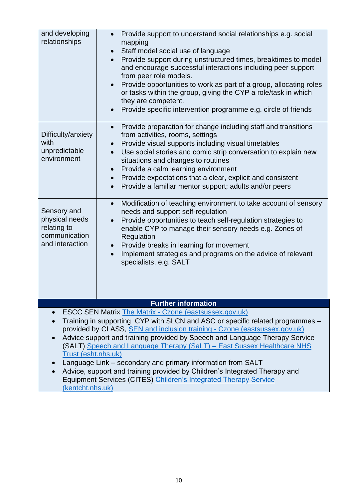| and developing<br>relationships                                                                                                                                                                                                                                                                                                                                                                                                                                                                                                                                                                                                                  | Provide support to understand social relationships e.g. social<br>mapping<br>Staff model social use of language<br>Provide support during unstructured times, breaktimes to model<br>and encourage successful interactions including peer support<br>from peer role models.<br>Provide opportunities to work as part of a group, allocating roles<br>or tasks within the group, giving the CYP a role/task in which                           |  |
|--------------------------------------------------------------------------------------------------------------------------------------------------------------------------------------------------------------------------------------------------------------------------------------------------------------------------------------------------------------------------------------------------------------------------------------------------------------------------------------------------------------------------------------------------------------------------------------------------------------------------------------------------|-----------------------------------------------------------------------------------------------------------------------------------------------------------------------------------------------------------------------------------------------------------------------------------------------------------------------------------------------------------------------------------------------------------------------------------------------|--|
|                                                                                                                                                                                                                                                                                                                                                                                                                                                                                                                                                                                                                                                  | they are competent.<br>Provide specific intervention programme e.g. circle of friends                                                                                                                                                                                                                                                                                                                                                         |  |
| Difficulty/anxiety<br>with<br>unpredictable<br>environment                                                                                                                                                                                                                                                                                                                                                                                                                                                                                                                                                                                       | Provide preparation for change including staff and transitions<br>from activities, rooms, settings<br>Provide visual supports including visual timetables<br>Use social stories and comic strip conversation to explain new<br>situations and changes to routines<br>Provide a calm learning environment<br>Provide expectations that a clear, explicit and consistent<br>$\bullet$<br>Provide a familiar mentor support; adults and/or peers |  |
| Sensory and<br>physical needs<br>relating to<br>communication<br>and interaction                                                                                                                                                                                                                                                                                                                                                                                                                                                                                                                                                                 | Modification of teaching environment to take account of sensory<br>$\bullet$<br>needs and support self-regulation<br>Provide opportunities to teach self-regulation strategies to<br>enable CYP to manage their sensory needs e.g. Zones of<br>Regulation<br>Provide breaks in learning for movement<br>$\bullet$<br>Implement strategies and programs on the advice of relevant<br>specialists, e.g. SALT                                    |  |
|                                                                                                                                                                                                                                                                                                                                                                                                                                                                                                                                                                                                                                                  | <b>Further information</b>                                                                                                                                                                                                                                                                                                                                                                                                                    |  |
| <b>ESCC SEN Matrix The Matrix - Czone (eastsussex.gov.uk)</b><br>Training in supporting CYP with SLCN and ASC or specific related programmes -<br>provided by CLASS, SEN and inclusion training - Czone (eastsussex.gov.uk)<br>Advice support and training provided by Speech and Language Therapy Service<br>(SALT) Speech and Language Therapy (SaLT) - East Sussex Healthcare NHS<br>Trust (esht.nhs.uk)<br>Language Link – secondary and primary information from SALT<br>Advice, support and training provided by Children's Integrated Therapy and<br>Equipment Services (CITES) Children's Integrated Therapy Service<br>(kentcht.nhs.uk) |                                                                                                                                                                                                                                                                                                                                                                                                                                               |  |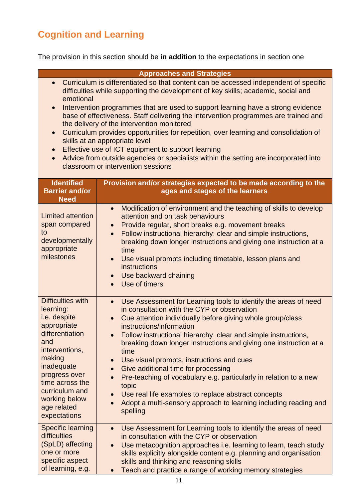## **Cognition and Learning**

The provision in this section should be **in addition** to the expectations in section one

|                                                                                                                                                                                                                                                                                                                                                                                                                                                                                                                                                                                                                                                                                                                                                                                                | <b>Approaches and Strategies</b>                                                                                                                                                                                                                                                                                                                                                                                                                                                                                                                                                                                                                                                           |  |
|------------------------------------------------------------------------------------------------------------------------------------------------------------------------------------------------------------------------------------------------------------------------------------------------------------------------------------------------------------------------------------------------------------------------------------------------------------------------------------------------------------------------------------------------------------------------------------------------------------------------------------------------------------------------------------------------------------------------------------------------------------------------------------------------|--------------------------------------------------------------------------------------------------------------------------------------------------------------------------------------------------------------------------------------------------------------------------------------------------------------------------------------------------------------------------------------------------------------------------------------------------------------------------------------------------------------------------------------------------------------------------------------------------------------------------------------------------------------------------------------------|--|
| Curriculum is differentiated so that content can be accessed independent of specific<br>$\bullet$<br>difficulties while supporting the development of key skills; academic, social and<br>emotional<br>Intervention programmes that are used to support learning have a strong evidence<br>$\bullet$<br>base of effectiveness. Staff delivering the intervention programmes are trained and<br>the delivery of the intervention monitored<br>Curriculum provides opportunities for repetition, over learning and consolidation of<br>$\bullet$<br>skills at an appropriate level<br>Effective use of ICT equipment to support learning<br>$\bullet$<br>Advice from outside agencies or specialists within the setting are incorporated into<br>$\bullet$<br>classroom or intervention sessions |                                                                                                                                                                                                                                                                                                                                                                                                                                                                                                                                                                                                                                                                                            |  |
| <b>Identified</b><br><b>Barrier and/or</b><br><b>Need</b>                                                                                                                                                                                                                                                                                                                                                                                                                                                                                                                                                                                                                                                                                                                                      | Provision and/or strategies expected to be made according to the<br>ages and stages of the learners                                                                                                                                                                                                                                                                                                                                                                                                                                                                                                                                                                                        |  |
| <b>Limited attention</b><br>span compared<br>to<br>developmentally<br>appropriate<br>milestones                                                                                                                                                                                                                                                                                                                                                                                                                                                                                                                                                                                                                                                                                                | Modification of environment and the teaching of skills to develop<br>$\bullet$<br>attention and on task behaviours<br>Provide regular, short breaks e.g. movement breaks<br>$\bullet$<br>Follow instructional hierarchy: clear and simple instructions,<br>$\bullet$<br>breaking down longer instructions and giving one instruction at a<br>time<br>Use visual prompts including timetable, lesson plans and<br>instructions<br>Use backward chaining<br>$\bullet$<br>Use of timers                                                                                                                                                                                                       |  |
| <b>Difficulties with</b><br>learning:<br>i.e. despite<br>appropriate<br>differentiation<br>and<br>interventions,<br>making<br>inadequate<br>progress over<br>time across the<br>curriculum and<br>working below<br>age related<br>expectations                                                                                                                                                                                                                                                                                                                                                                                                                                                                                                                                                 | Use Assessment for Learning tools to identify the areas of need<br>$\bullet$<br>in consultation with the CYP or observation<br>Cue attention individually before giving whole group/class<br>$\bullet$<br>instructions/information<br>Follow instructional hierarchy: clear and simple instructions,<br>breaking down longer instructions and giving one instruction at a<br>time<br>Use visual prompts, instructions and cues<br>Give additional time for processing<br>Pre-teaching of vocabulary e.g. particularly in relation to a new<br>topic<br>Use real life examples to replace abstract concepts<br>Adopt a multi-sensory approach to learning including reading and<br>spelling |  |
| <b>Specific learning</b><br>difficulties<br>(SpLD) affecting<br>one or more<br>specific aspect<br>of learning, e.g.                                                                                                                                                                                                                                                                                                                                                                                                                                                                                                                                                                                                                                                                            | Use Assessment for Learning tools to identify the areas of need<br>$\bullet$<br>in consultation with the CYP or observation<br>Use metacognition approaches i.e. learning to learn, teach study<br>skills explicitly alongside content e.g. planning and organisation<br>skills and thinking and reasoning skills<br>Teach and practice a range of working memory strategies                                                                                                                                                                                                                                                                                                               |  |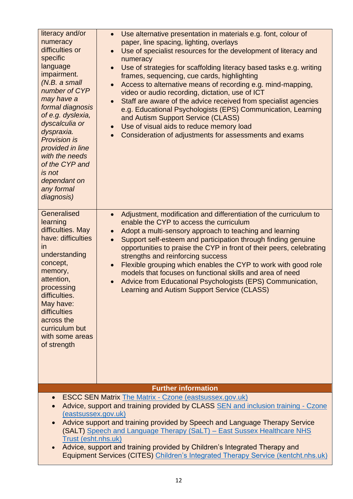| literacy and/or<br>numeracy<br>difficulties or<br>specific<br>language<br>impairment.<br>(N.B. a small<br>number of CYP<br>may have a<br>formal diagnosis<br>of e.g. dyslexia,<br>dyscalculia or<br>dyspraxia.<br><b>Provision is</b><br>provided in line<br>with the needs<br>of the CYP and<br>is not<br>dependant on<br>any formal<br>diagnosis)                                                                                                                                                                          | Use alternative presentation in materials e.g. font, colour of<br>$\bullet$<br>paper, line spacing, lighting, overlays<br>Use of specialist resources for the development of literacy and<br>numeracy<br>Use of strategies for scaffolding literacy based tasks e.g. writing<br>frames, sequencing, cue cards, highlighting<br>Access to alternative means of recording e.g. mind-mapping,<br>video or audio recording, dictation, use of ICT<br>Staff are aware of the advice received from specialist agencies<br>e.g. Educational Psychologists (EPS) Communication, Learning<br>and Autism Support Service (CLASS)<br>Use of visual aids to reduce memory load<br>$\bullet$<br>Consideration of adjustments for assessments and exams<br>$\bullet$ |  |
|------------------------------------------------------------------------------------------------------------------------------------------------------------------------------------------------------------------------------------------------------------------------------------------------------------------------------------------------------------------------------------------------------------------------------------------------------------------------------------------------------------------------------|--------------------------------------------------------------------------------------------------------------------------------------------------------------------------------------------------------------------------------------------------------------------------------------------------------------------------------------------------------------------------------------------------------------------------------------------------------------------------------------------------------------------------------------------------------------------------------------------------------------------------------------------------------------------------------------------------------------------------------------------------------|--|
| Generalised<br>learning<br>difficulties. May<br>have: difficulties<br>in<br>understanding<br>concept,<br>memory,<br>attention,<br>processing<br>difficulties.<br>May have:<br>difficulties<br>across the<br>curriculum but<br>with some areas<br>of strength                                                                                                                                                                                                                                                                 | Adjustment, modification and differentiation of the curriculum to<br>$\bullet$<br>enable the CYP to access the curriculum<br>Adopt a multi-sensory approach to teaching and learning<br>Support self-esteem and participation through finding genuine<br>$\bullet$<br>opportunities to praise the CYP in front of their peers, celebrating<br>strengths and reinforcing success<br>Flexible grouping which enables the CYP to work with good role<br>$\bullet$<br>models that focuses on functional skills and area of need<br>Advice from Educational Psychologists (EPS) Communication,<br><b>Learning and Autism Support Service (CLASS)</b>                                                                                                        |  |
|                                                                                                                                                                                                                                                                                                                                                                                                                                                                                                                              | <b>Further information</b>                                                                                                                                                                                                                                                                                                                                                                                                                                                                                                                                                                                                                                                                                                                             |  |
| <b>ESCC SEN Matrix The Matrix - Czone (eastsussex.gov.uk)</b><br>Advice, support and training provided by CLASS SEN and inclusion training - Czone<br>(eastsussex.gov.uk)<br>Advice support and training provided by Speech and Language Therapy Service<br>(SALT) Speech and Language Therapy (SaLT) - East Sussex Healthcare NHS<br>Trust (esht.nhs.uk)<br>Advice, support and training provided by Children's Integrated Therapy and<br>Equipment Services (CITES) Children's Integrated Therapy Service (kentcht.nhs.uk) |                                                                                                                                                                                                                                                                                                                                                                                                                                                                                                                                                                                                                                                                                                                                                        |  |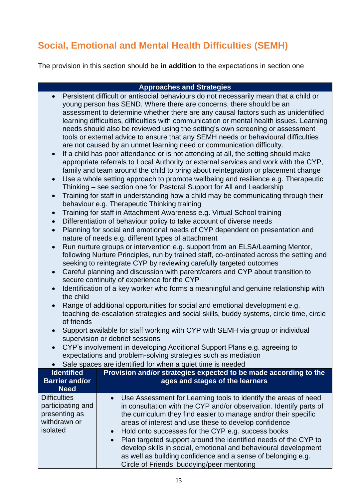## **Social, Emotional and Mental Health Difficulties (SEMH)**

The provision in this section should be **in addition** to the expectations in section one

#### **Approaches and Strategies**

- Persistent difficult or antisocial behaviours do not necessarily mean that a child or young person has SEND. Where there are concerns, there should be an assessment to determine whether there are any causal factors such as unidentified learning difficulties, difficulties with communication or mental health issues. Learning needs should also be reviewed using the setting's own screening or assessment tools or external advice to ensure that any SEMH needs or behavioural difficulties are not caused by an unmet learning need or communication difficulty.
- If a child has poor attendance or is not attending at all, the setting should make appropriate referrals to Local Authority or external services and work with the CYP, family and team around the child to bring about reintegration or placement change
- Use a whole setting approach to promote wellbeing and resilience e.g. Therapeutic Thinking – see section one for Pastoral Support for All and Leadership
- Training for staff in understanding how a child may be communicating through their behaviour e.g. Therapeutic Thinking training
- Training for staff in Attachment Awareness e.g. Virtual School training
- Differentiation of behaviour policy to take account of diverse needs
- Planning for social and emotional needs of CYP dependent on presentation and nature of needs e.g. different types of attachment
- Run nurture groups or intervention e.g. support from an ELSA/Learning Mentor, following Nurture Principles, run by trained staff, co-ordinated across the setting and seeking to reintegrate CYP by reviewing carefully targeted outcomes
- Careful planning and discussion with parent/carers and CYP about transition to secure continuity of experience for the CYP
- Identification of a key worker who forms a meaningful and genuine relationship with the child
- Range of additional opportunities for social and emotional development e.g. teaching de-escalation strategies and social skills, buddy systems, circle time, circle of friends
- Support available for staff working with CYP with SEMH via group or individual supervision or debrief sessions
- CYP's involvement in developing Additional Support Plans e.g. agreeing to expectations and problem-solving strategies such as mediation

| Safe spaces are identified for when a quiet time is needed |  |  |
|------------------------------------------------------------|--|--|
|                                                            |  |  |

| <b>Identified</b><br><b>Barrier and/or</b><br><b>Need</b>                             | Provision and/or strategies expected to be made according to the<br>ages and stages of the learners                                                                                                                                                                                                                                                                                                                                                                                                                                                                               |
|---------------------------------------------------------------------------------------|-----------------------------------------------------------------------------------------------------------------------------------------------------------------------------------------------------------------------------------------------------------------------------------------------------------------------------------------------------------------------------------------------------------------------------------------------------------------------------------------------------------------------------------------------------------------------------------|
| <b>Difficulties</b><br>participating and<br>presenting as<br>withdrawn or<br>isolated | • Use Assessment for Learning tools to identify the areas of need<br>in consultation with the CYP and/or observation. Identify parts of<br>the curriculum they find easier to manage and/or their specific<br>areas of interest and use these to develop confidence<br>• Hold onto successes for the CYP e.g. success books<br>• Plan targeted support around the identified needs of the CYP to<br>develop skills in social, emotional and behavioural development<br>as well as building confidence and a sense of belonging e.g.<br>Circle of Friends, buddying/peer mentoring |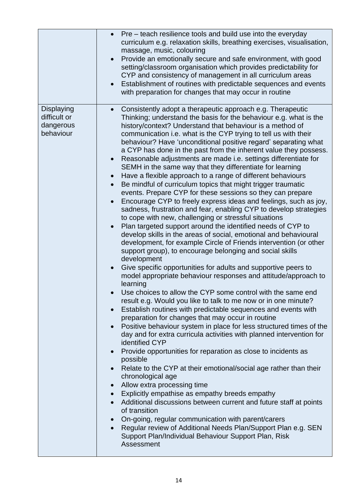|                                                      | Pre – teach resilience tools and build use into the everyday<br>curriculum e.g. relaxation skills, breathing exercises, visualisation,<br>massage, music, colouring<br>Provide an emotionally secure and safe environment, with good<br>setting/classroom organisation which provides predictability for<br>CYP and consistency of management in all curriculum areas<br>Establishment of routines with predictable sequences and events<br>with preparation for changes that may occur in routine                                                                                                                                                                                                                                                                                                                                                                                                                                                                                                                                                                                                                                                                                                                                                                                                                                                                                                                                                                                                                                                                                                                                                                                                                                                                                                                                                                                                                                                                                                                                                                                                                                                                                                                                                                                                                                                                                                |
|------------------------------------------------------|---------------------------------------------------------------------------------------------------------------------------------------------------------------------------------------------------------------------------------------------------------------------------------------------------------------------------------------------------------------------------------------------------------------------------------------------------------------------------------------------------------------------------------------------------------------------------------------------------------------------------------------------------------------------------------------------------------------------------------------------------------------------------------------------------------------------------------------------------------------------------------------------------------------------------------------------------------------------------------------------------------------------------------------------------------------------------------------------------------------------------------------------------------------------------------------------------------------------------------------------------------------------------------------------------------------------------------------------------------------------------------------------------------------------------------------------------------------------------------------------------------------------------------------------------------------------------------------------------------------------------------------------------------------------------------------------------------------------------------------------------------------------------------------------------------------------------------------------------------------------------------------------------------------------------------------------------------------------------------------------------------------------------------------------------------------------------------------------------------------------------------------------------------------------------------------------------------------------------------------------------------------------------------------------------------------------------------------------------------------------------------------------------|
| Displaying<br>difficult or<br>dangerous<br>behaviour | Consistently adopt a therapeutic approach e.g. Therapeutic<br>Thinking; understand the basis for the behaviour e.g. what is the<br>history/context? Understand that behaviour is a method of<br>communication i.e. what is the CYP trying to tell us with their<br>behaviour? Have 'unconditional positive regard' separating what<br>a CYP has done in the past from the inherent value they possess.<br>Reasonable adjustments are made i.e. settings differentiate for<br>SEMH in the same way that they differentiate for learning<br>Have a flexible approach to a range of different behaviours<br>$\bullet$<br>Be mindful of curriculum topics that might trigger traumatic<br>events. Prepare CYP for these sessions so they can prepare<br>Encourage CYP to freely express ideas and feelings, such as joy,<br>sadness, frustration and fear, enabling CYP to develop strategies<br>to cope with new, challenging or stressful situations<br>Plan targeted support around the identified needs of CYP to<br>develop skills in the areas of social, emotional and behavioural<br>development, for example Circle of Friends intervention (or other<br>support group), to encourage belonging and social skills<br>development<br>Give specific opportunities for adults and supportive peers to<br>model appropriate behaviour responses and attitude/approach to<br>learning<br>• Use choices to allow the CYP some control with the same end<br>result e.g. Would you like to talk to me now or in one minute?<br>Establish routines with predictable sequences and events with<br>$\bullet$<br>preparation for changes that may occur in routine<br>Positive behaviour system in place for less structured times of the<br>day and for extra curricula activities with planned intervention for<br>identified CYP<br>Provide opportunities for reparation as close to incidents as<br>possible<br>Relate to the CYP at their emotional/social age rather than their<br>chronological age<br>Allow extra processing time<br>$\bullet$<br>Explicitly empathise as empathy breeds empathy<br>$\bullet$<br>Additional discussions between current and future staff at points<br>of transition<br>On-going, regular communication with parent/carers<br>Regular review of Additional Needs Plan/Support Plan e.g. SEN<br>Support Plan/Individual Behaviour Support Plan, Risk<br>Assessment |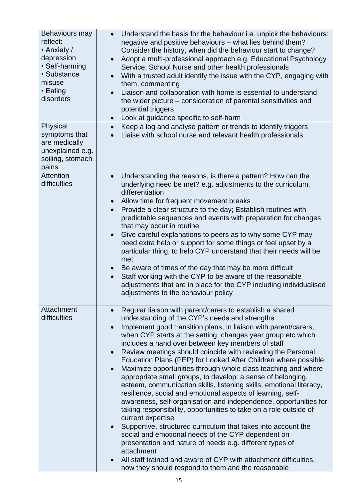| Behaviours may<br>reflect:<br>• Anxiety /<br>depression<br>• Self-harming<br>• Substance<br>misuse<br>• Eating<br>disorders | Understand the basis for the behaviour i.e. unpick the behaviours:<br>$\bullet$<br>negative and positive behaviours – what lies behind them?<br>Consider the history, when did the behaviour start to change?<br>Adopt a multi-professional approach e.g. Educational Psychology<br>Service, School Nurse and other health professionals<br>With a trusted adult identify the issue with the CYP, engaging with<br>them, commenting<br>Liaison and collaboration with home is essential to understand<br>the wider picture – consideration of parental sensitivities and<br>potential triggers<br>Look at guidance specific to self-harm<br>$\bullet$                                                                                                                                                                                                                                                                                                                                                                                                                                                                                                                                                           |
|-----------------------------------------------------------------------------------------------------------------------------|-----------------------------------------------------------------------------------------------------------------------------------------------------------------------------------------------------------------------------------------------------------------------------------------------------------------------------------------------------------------------------------------------------------------------------------------------------------------------------------------------------------------------------------------------------------------------------------------------------------------------------------------------------------------------------------------------------------------------------------------------------------------------------------------------------------------------------------------------------------------------------------------------------------------------------------------------------------------------------------------------------------------------------------------------------------------------------------------------------------------------------------------------------------------------------------------------------------------|
| Physical<br>symptoms that<br>are medically<br>unexplained e.g.<br>soiling, stomach<br>pains                                 | Keep a log and analyse pattern or trends to identify triggers<br>$\bullet$<br>Liaise with school nurse and relevant health professionals                                                                                                                                                                                                                                                                                                                                                                                                                                                                                                                                                                                                                                                                                                                                                                                                                                                                                                                                                                                                                                                                        |
| Attention<br>difficulties                                                                                                   | Understanding the reasons, is there a pattern? How can the<br>underlying need be met? e.g. adjustments to the curriculum,<br>differentiation<br>Allow time for frequent movement breaks<br>Provide a clear structure to the day; Establish routines with<br>predictable sequences and events with preparation for changes<br>that may occur in routine<br>Give careful explanations to peers as to why some CYP may<br>need extra help or support for some things or feel upset by a<br>particular thing, to help CYP understand that their needs will be<br>met<br>Be aware of times of the day that may be more difficult<br>Staff working with the CYP to be aware of the reasonable<br>$\bullet$<br>adjustments that are in place for the CYP including individualised<br>adjustments to the behaviour policy                                                                                                                                                                                                                                                                                                                                                                                               |
| Attachment<br>difficulties                                                                                                  | Regular liaison with parent/carers to establish a shared<br>$\bullet$<br>understanding of the CYP's needs and strengths<br>Implement good transition plans, in liaison with parent/carers,<br>when CYP starts at the setting, changes year group etc which<br>includes a hand over between key members of staff<br>Review meetings should coincide with reviewing the Personal<br>Education Plans (PEP) for Looked After Children where possible<br>Maximize opportunities through whole class teaching and where<br>appropriate small groups, to develop: a sense of belonging,<br>esteem, communication skills, listening skills, emotional literacy,<br>resilience, social and emotional aspects of learning, self-<br>awareness, self-organisation and independence, opportunities for<br>taking responsibility, opportunities to take on a role outside of<br>current expertise<br>Supportive, structured curriculum that takes into account the<br>social and emotional needs of the CYP dependent on<br>presentation and nature of needs e.g. different types of<br>attachment<br>All staff trained and aware of CYP with attachment difficulties,<br>how they should respond to them and the reasonable |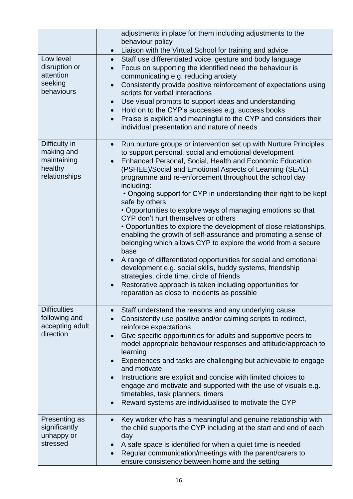|                                  | adjustments in place for them including adjustments to the<br>behaviour policy                                                          |
|----------------------------------|-----------------------------------------------------------------------------------------------------------------------------------------|
|                                  | Liaison with the Virtual School for training and advice<br>$\bullet$                                                                    |
| Low level                        | Staff use differentiated voice, gesture and body language<br>$\bullet$                                                                  |
| disruption or<br>attention       | Focus on supporting the identified need the behaviour is<br>$\bullet$<br>communicating e.g. reducing anxiety                            |
| seeking<br>behaviours            | Consistently provide positive reinforcement of expectations using<br>$\bullet$<br>scripts for verbal interactions                       |
|                                  | Use visual prompts to support ideas and understanding<br>$\bullet$                                                                      |
|                                  | Hold on to the CYP's successes e.g. success books                                                                                       |
|                                  | Praise is explicit and meaningful to the CYP and considers their<br>$\bullet$                                                           |
|                                  | individual presentation and nature of needs                                                                                             |
|                                  |                                                                                                                                         |
| Difficulty in<br>making and      | Run nurture groups or intervention set up with Nurture Principles<br>$\bullet$<br>to support personal, social and emotional development |
| maintaining                      | Enhanced Personal, Social, Health and Economic Education                                                                                |
| healthy<br>relationships         | (PSHEE)/Social and Emotional Aspects of Learning (SEAL)<br>programme and re-enforcement throughout the school day                       |
|                                  | including:<br>• Ongoing support for CYP in understanding their right to be kept                                                         |
|                                  | safe by others<br>• Opportunities to explore ways of managing emotions so that                                                          |
|                                  | CYP don't hurt themselves or others                                                                                                     |
|                                  | • Opportunities to explore the development of close relationships,                                                                      |
|                                  | enabling the growth of self-assurance and promoting a sense of                                                                          |
|                                  | belonging which allows CYP to explore the world from a secure<br>base                                                                   |
|                                  | A range of differentiated opportunities for social and emotional<br>development e.g. social skills, buddy systems, friendship           |
|                                  | strategies, circle time, circle of friends                                                                                              |
|                                  | Restorative approach is taken including opportunities for                                                                               |
|                                  | reparation as close to incidents as possible                                                                                            |
|                                  |                                                                                                                                         |
| <b>Difficulties</b>              | Staff understand the reasons and any underlying cause<br>$\bullet$                                                                      |
| following and<br>accepting adult | Consistently use positive and/or calming scripts to redirect,<br>reinforce expectations                                                 |
| direction                        | Give specific opportunities for adults and supportive peers to                                                                          |
|                                  | model appropriate behaviour responses and attitude/approach to<br>learning                                                              |
|                                  | Experiences and tasks are challenging but achievable to engage<br>and motivate                                                          |
|                                  | Instructions are explicit and concise with limited choices to                                                                           |
|                                  | engage and motivate and supported with the use of visuals e.g.                                                                          |
|                                  | timetables, task planners, timers                                                                                                       |
|                                  | Reward systems are individualised to motivate the CYP<br>$\bullet$                                                                      |
| Presenting as                    | Key worker who has a meaningful and genuine relationship with                                                                           |
| significantly                    | the child supports the CYP including at the start and end of each                                                                       |
| unhappy or                       | day                                                                                                                                     |
| stressed                         | A safe space is identified for when a quiet time is needed                                                                              |
|                                  | Regular communication/meetings with the parent/carers to                                                                                |
|                                  | ensure consistency between home and the setting                                                                                         |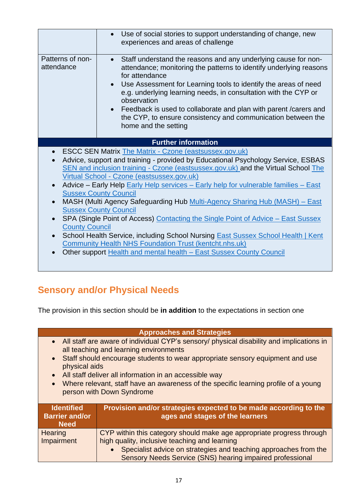|                                    | Use of social stories to support understanding of change, new<br>experiences and areas of challenge                                                                                                                                                                                                                                                                                                                                                                                                                                                                                                                                                                                                                                                                                                                                              |
|------------------------------------|--------------------------------------------------------------------------------------------------------------------------------------------------------------------------------------------------------------------------------------------------------------------------------------------------------------------------------------------------------------------------------------------------------------------------------------------------------------------------------------------------------------------------------------------------------------------------------------------------------------------------------------------------------------------------------------------------------------------------------------------------------------------------------------------------------------------------------------------------|
| Patterns of non-<br>attendance     | Staff understand the reasons and any underlying cause for non-<br>attendance; monitoring the patterns to identify underlying reasons<br>for attendance<br>Use Assessment for Learning tools to identify the areas of need<br>e.g. underlying learning needs, in consultation with the CYP or<br>observation<br>• Feedback is used to collaborate and plan with parent / carers and<br>the CYP, to ensure consistency and communication between the<br>home and the setting                                                                                                                                                                                                                                                                                                                                                                       |
|                                    | <b>Further information</b>                                                                                                                                                                                                                                                                                                                                                                                                                                                                                                                                                                                                                                                                                                                                                                                                                       |
| $\bullet$<br><b>County Council</b> | <b>ESCC SEN Matrix The Matrix - Czone (eastsussex.gov.uk)</b><br>Advice, support and training - provided by Educational Psychology Service, ESBAS<br>SEN and inclusion training - Czone (eastsussex.gov.uk) and the Virtual School The<br>Virtual School - Czone (eastsussex.gov.uk)<br>Advice - Early Help Early Help services - Early help for vulnerable families - East<br><b>Sussex County Council</b><br>MASH (Multi Agency Safeguarding Hub Multi-Agency Sharing Hub (MASH) - East<br><b>Sussex County Council</b><br>SPA (Single Point of Access) Contacting the Single Point of Advice – East Sussex<br>School Health Service, including School Nursing <b>East Sussex School Health   Kent</b><br><b>Community Health NHS Foundation Trust (kentcht.nhs.uk)</b><br>Other support Health and mental health - East Sussex County Council |
|                                    |                                                                                                                                                                                                                                                                                                                                                                                                                                                                                                                                                                                                                                                                                                                                                                                                                                                  |

## **Sensory and/or Physical Needs**

The provision in this section should be **in addition** to the expectations in section one

|                                                                                                                                                                                                                                                                                                                                                                                                                                   | <b>Approaches and Strategies</b>                                                                                                                                                             |
|-----------------------------------------------------------------------------------------------------------------------------------------------------------------------------------------------------------------------------------------------------------------------------------------------------------------------------------------------------------------------------------------------------------------------------------|----------------------------------------------------------------------------------------------------------------------------------------------------------------------------------------------|
| • All staff are aware of individual CYP's sensory/ physical disability and implications in<br>all teaching and learning environments<br>Staff should encourage students to wear appropriate sensory equipment and use<br>physical aids<br>All staff deliver all information in an accessible way<br>Where relevant, staff have an awareness of the specific learning profile of a young<br>$\bullet$<br>person with Down Syndrome |                                                                                                                                                                                              |
| <b>Identified</b><br><b>Barrier and/or</b><br><b>Need</b>                                                                                                                                                                                                                                                                                                                                                                         | Provision and/or strategies expected to be made according to the<br>ages and stages of the learners                                                                                          |
| <b>Hearing</b><br>Impairment                                                                                                                                                                                                                                                                                                                                                                                                      | CYP within this category should make age appropriate progress through<br>high quality, inclusive teaching and learning<br>• Specialist advice on strategies and teaching approaches from the |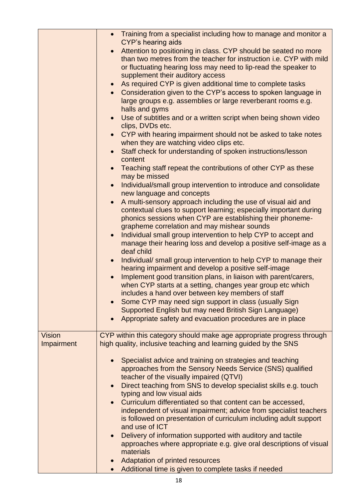|                             | • Training from a specialist including how to manage and monitor a<br><b>CYP's hearing aids</b><br>Attention to positioning in class. CYP should be seated no more<br>than two metres from the teacher for instruction <i>i.e.</i> CYP with mild<br>or fluctuating hearing loss may need to lip-read the speaker to<br>supplement their auditory access<br>As required CYP is given additional time to complete tasks<br>$\bullet$<br>Consideration given to the CYP's access to spoken language in<br>$\bullet$<br>large groups e.g. assemblies or large reverberant rooms e.g.<br>halls and gyms<br>Use of subtitles and or a written script when being shown video<br>$\bullet$<br>clips, DVDs etc.<br>CYP with hearing impairment should not be asked to take notes<br>when they are watching video clips etc.<br>Staff check for understanding of spoken instructions/lesson<br>content<br>Teaching staff repeat the contributions of other CYP as these<br>$\bullet$<br>may be missed<br>Individual/small group intervention to introduce and consolidate<br>new language and concepts<br>A multi-sensory approach including the use of visual aid and<br>contextual clues to support learning; especially important during<br>phonics sessions when CYP are establishing their phoneme-<br>grapheme correlation and may mishear sounds<br>Individual small group intervention to help CYP to accept and<br>$\bullet$<br>manage their hearing loss and develop a positive self-image as a<br>deaf child<br>Individual/small group intervention to help CYP to manage their<br>$\bullet$<br>hearing impairment and develop a positive self-image<br>Implement good transition plans, in liaison with parent/carers,<br>when CYP starts at a setting, changes year group etc which<br>includes a hand over between key members of staff<br>Some CYP may need sign support in class (usually Sign<br>Supported English but may need British Sign Language)<br>Appropriate safety and evacuation procedures are in place |
|-----------------------------|----------------------------------------------------------------------------------------------------------------------------------------------------------------------------------------------------------------------------------------------------------------------------------------------------------------------------------------------------------------------------------------------------------------------------------------------------------------------------------------------------------------------------------------------------------------------------------------------------------------------------------------------------------------------------------------------------------------------------------------------------------------------------------------------------------------------------------------------------------------------------------------------------------------------------------------------------------------------------------------------------------------------------------------------------------------------------------------------------------------------------------------------------------------------------------------------------------------------------------------------------------------------------------------------------------------------------------------------------------------------------------------------------------------------------------------------------------------------------------------------------------------------------------------------------------------------------------------------------------------------------------------------------------------------------------------------------------------------------------------------------------------------------------------------------------------------------------------------------------------------------------------------------------------------------------------------------------------------------------------------------------------------------|
| <b>Vision</b><br>Impairment | CYP within this category should make age appropriate progress through<br>high quality, inclusive teaching and learning guided by the SNS                                                                                                                                                                                                                                                                                                                                                                                                                                                                                                                                                                                                                                                                                                                                                                                                                                                                                                                                                                                                                                                                                                                                                                                                                                                                                                                                                                                                                                                                                                                                                                                                                                                                                                                                                                                                                                                                                   |
|                             | Specialist advice and training on strategies and teaching<br>$\bullet$<br>approaches from the Sensory Needs Service (SNS) qualified<br>teacher of the visually impaired (QTVI)<br>Direct teaching from SNS to develop specialist skills e.g. touch<br>$\bullet$<br>typing and low visual aids<br>Curriculum differentiated so that content can be accessed,<br>independent of visual impairment; advice from specialist teachers<br>is followed on presentation of curriculum including adult support<br>and use of ICT<br>Delivery of information supported with auditory and tactile<br>approaches where appropriate e.g. give oral descriptions of visual<br>materials<br>Adaptation of printed resources<br>Additional time is given to complete tasks if needed                                                                                                                                                                                                                                                                                                                                                                                                                                                                                                                                                                                                                                                                                                                                                                                                                                                                                                                                                                                                                                                                                                                                                                                                                                                       |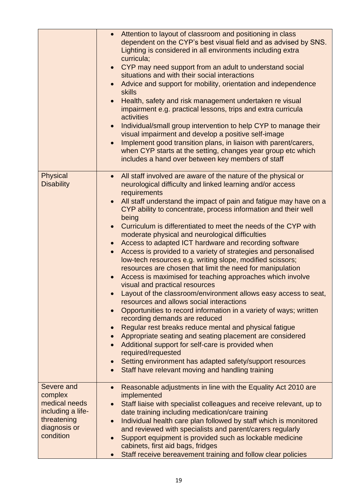|                                                                                                         | Attention to layout of classroom and positioning in class<br>dependent on the CYP's best visual field and as advised by SNS.<br>Lighting is considered in all environments including extra<br>curricula;<br>CYP may need support from an adult to understand social<br>situations and with their social interactions<br>Advice and support for mobility, orientation and independence<br><b>skills</b><br>Health, safety and risk management undertaken re visual<br>impairment e.g. practical lessons, trips and extra curricula<br>activities<br>Individual/small group intervention to help CYP to manage their<br>$\bullet$<br>visual impairment and develop a positive self-image<br>Implement good transition plans, in liaison with parent/carers,<br>when CYP starts at the setting, changes year group etc which<br>includes a hand over between key members of staff                                                                                                                                                                                                                                                                                                                                                                                                                                                                   |
|---------------------------------------------------------------------------------------------------------|--------------------------------------------------------------------------------------------------------------------------------------------------------------------------------------------------------------------------------------------------------------------------------------------------------------------------------------------------------------------------------------------------------------------------------------------------------------------------------------------------------------------------------------------------------------------------------------------------------------------------------------------------------------------------------------------------------------------------------------------------------------------------------------------------------------------------------------------------------------------------------------------------------------------------------------------------------------------------------------------------------------------------------------------------------------------------------------------------------------------------------------------------------------------------------------------------------------------------------------------------------------------------------------------------------------------------------------------------|
| <b>Physical</b><br><b>Disability</b>                                                                    | All staff involved are aware of the nature of the physical or<br>$\bullet$<br>neurological difficulty and linked learning and/or access<br>requirements<br>All staff understand the impact of pain and fatigue may have on a<br>CYP ability to concentrate, process information and their well<br>being<br>Curriculum is differentiated to meet the needs of the CYP with<br>$\bullet$<br>moderate physical and neurological difficulties<br>Access to adapted ICT hardware and recording software<br>Access is provided to a variety of strategies and personalised<br>low-tech resources e.g. writing slope, modified scissors;<br>resources are chosen that limit the need for manipulation<br>Access is maximised for teaching approaches which involve<br>visual and practical resources<br>Layout of the classroom/environment allows easy access to seat,<br>resources and allows social interactions<br>Opportunities to record information in a variety of ways; written<br>$\bullet$<br>recording demands are reduced<br>Regular rest breaks reduce mental and physical fatigue<br>Appropriate seating and seating placement are considered<br>Additional support for self-care is provided when<br>required/requested<br>Setting environment has adapted safety/support resources<br>Staff have relevant moving and handling training |
| Severe and<br>complex<br>medical needs<br>including a life-<br>threatening<br>diagnosis or<br>condition | Reasonable adjustments in line with the Equality Act 2010 are<br>$\bullet$<br>implemented<br>Staff liaise with specialist colleagues and receive relevant, up to<br>date training including medication/care training<br>Individual health care plan followed by staff which is monitored<br>$\bullet$<br>and reviewed with specialists and parent/carers regularly<br>Support equipment is provided such as lockable medicine<br>cabinets, first aid bags, fridges<br>Staff receive bereavement training and follow clear policies                                                                                                                                                                                                                                                                                                                                                                                                                                                                                                                                                                                                                                                                                                                                                                                                               |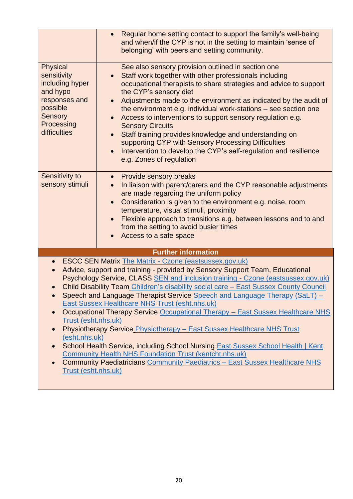| <b>Physical</b><br>sensitivity<br>including hyper<br>and hypo<br>responses and<br>possible<br>Sensory<br>Processing<br>difficulties | Regular home setting contact to support the family's well-being<br>and when/if the CYP is not in the setting to maintain 'sense of<br>belonging' with peers and setting community.<br>See also sensory provision outlined in section one<br>Staff work together with other professionals including<br>occupational therapists to share strategies and advice to support<br>the CYP's sensory diet<br>Adjustments made to the environment as indicated by the audit of<br>the environment e.g. individual work-stations – see section one<br>Access to interventions to support sensory regulation e.g.<br><b>Sensory Circuits</b><br>Staff training provides knowledge and understanding on<br>supporting CYP with Sensory Processing Difficulties                                                                                                                      |
|-------------------------------------------------------------------------------------------------------------------------------------|-------------------------------------------------------------------------------------------------------------------------------------------------------------------------------------------------------------------------------------------------------------------------------------------------------------------------------------------------------------------------------------------------------------------------------------------------------------------------------------------------------------------------------------------------------------------------------------------------------------------------------------------------------------------------------------------------------------------------------------------------------------------------------------------------------------------------------------------------------------------------|
|                                                                                                                                     | Intervention to develop the CYP's self-regulation and resilience<br>e.g. Zones of regulation                                                                                                                                                                                                                                                                                                                                                                                                                                                                                                                                                                                                                                                                                                                                                                            |
| Sensitivity to<br>sensory stimuli                                                                                                   | <b>Provide sensory breaks</b><br>$\bullet$<br>In liaison with parent/carers and the CYP reasonable adjustments<br>are made regarding the uniform policy<br>Consideration is given to the environment e.g. noise, room<br>temperature, visual stimuli, proximity<br>Flexible approach to transitions e.g. between lessons and to and<br>from the setting to avoid busier times<br>Access to a safe space                                                                                                                                                                                                                                                                                                                                                                                                                                                                 |
|                                                                                                                                     | <b>Further information</b>                                                                                                                                                                                                                                                                                                                                                                                                                                                                                                                                                                                                                                                                                                                                                                                                                                              |
| $\bullet$<br>Trust (esht.nhs.uk)<br>(esht.nhs.uk)<br>Trust (esht.nhs.uk)                                                            | <b>ESCC SEN Matrix The Matrix - Czone (eastsussex.gov.uk)</b><br>Advice, support and training - provided by Sensory Support Team, Educational<br>Psychology Service, CLASS SEN and inclusion training - Czone (eastsussex.gov.uk)<br>Child Disability Team_Children's disability social care - East Sussex County Council<br>Speech and Language Therapist Service Speech and Language Therapy (SaLT) –<br><b>East Sussex Healthcare NHS Trust (esht.nhs.uk)</b><br>Occupational Therapy Service Occupational Therapy - East Sussex Healthcare NHS<br>Physiotherapy Service Physiotherapy - East Sussex Healthcare NHS Trust<br>School Health Service, including School Nursing East Sussex School Health   Kent<br><b>Community Health NHS Foundation Trust (kentcht.nhs.uk)</b><br><b>Community Paediatricians Community Paediatrics - East Sussex Healthcare NHS</b> |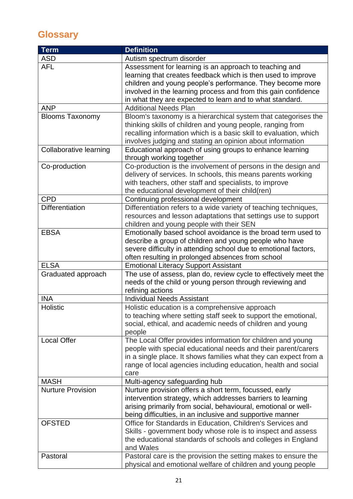## **Glossary**

| <b>Term</b>              | <b>Definition</b>                                                 |
|--------------------------|-------------------------------------------------------------------|
| <b>ASD</b>               | Autism spectrum disorder                                          |
| <b>AFL</b>               | Assessment for learning is an approach to teaching and            |
|                          | learning that creates feedback which is then used to improve      |
|                          | children and young people's performance. They become more         |
|                          | involved in the learning process and from this gain confidence    |
|                          | in what they are expected to learn and to what standard.          |
| <b>ANP</b>               | <b>Additional Needs Plan</b>                                      |
| <b>Blooms Taxonomy</b>   | Bloom's taxonomy is a hierarchical system that categorises the    |
|                          | thinking skills of children and young people, ranging from        |
|                          | recalling information which is a basic skill to evaluation, which |
|                          | involves judging and stating an opinion about information         |
| Collaborative learning   | Educational approach of using groups to enhance learning          |
|                          | through working together                                          |
| Co-production            | Co-production is the involvement of persons in the design and     |
|                          | delivery of services. In schools, this means parents working      |
|                          | with teachers, other staff and specialists, to improve            |
|                          | the educational development of their child(ren)                   |
| <b>CPD</b>               | Continuing professional development                               |
| <b>Differentiation</b>   | Differentiation refers to a wide variety of teaching techniques,  |
|                          | resources and lesson adaptations that settings use to support     |
|                          | children and young people with their SEN                          |
| <b>EBSA</b>              | Emotionally based school avoidance is the broad term used to      |
|                          | describe a group of children and young people who have            |
|                          | severe difficulty in attending school due to emotional factors,   |
|                          | often resulting in prolonged absences from school                 |
| <b>ELSA</b>              | <b>Emotional Literacy Support Assistant</b>                       |
| Graduated approach       | The use of assess, plan do, review cycle to effectively meet the  |
|                          | needs of the child or young person through reviewing and          |
|                          | refining actions                                                  |
| <b>INA</b>               | <b>Individual Needs Assistant</b>                                 |
| Holistic                 | Holistic education is a comprehensive approach                    |
|                          | to teaching where setting staff seek to support the emotional,    |
|                          | social, ethical, and academic needs of children and young         |
|                          | people                                                            |
| Local Offer              | The Local Offer provides information for children and young       |
|                          | people with special educational needs and their parent/carers     |
|                          | in a single place. It shows families what they can expect from a  |
|                          | range of local agencies including education, health and social    |
|                          | care                                                              |
| <b>MASH</b>              | Multi-agency safeguarding hub                                     |
| <b>Nurture Provision</b> | Nurture provision offers a short term, focussed, early            |
|                          | intervention strategy, which addresses barriers to learning       |
|                          | arising primarily from social, behavioural, emotional or well-    |
|                          | being difficulties, in an inclusive and supportive manner         |
| <b>OFSTED</b>            | Office for Standards in Education, Children's Services and        |
|                          | Skills - government body whose role is to inspect and assess      |
|                          | the educational standards of schools and colleges in England      |
|                          | and Wales                                                         |
| Pastoral                 | Pastoral care is the provision the setting makes to ensure the    |
|                          | physical and emotional welfare of children and young people       |